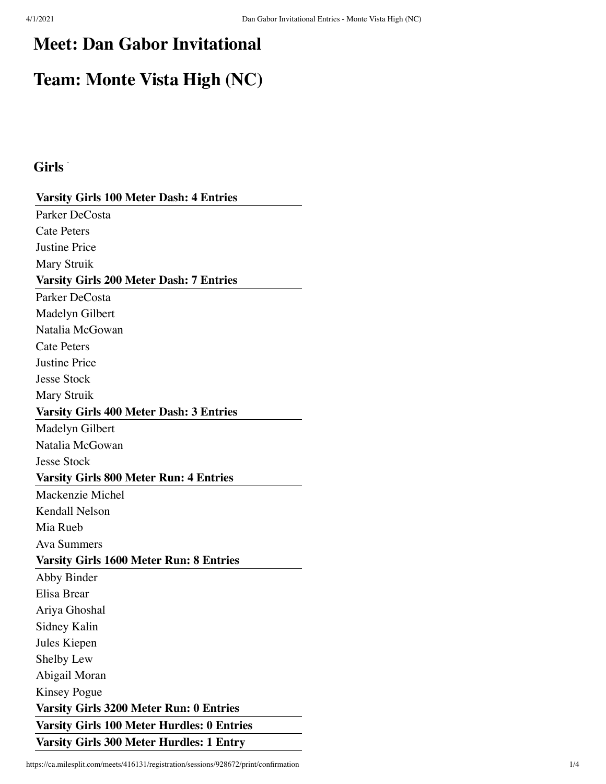## **Meet: Dan Gabor Invitational**

# **Team: Monte Vista High (NC)**

## Girls<sup>\*</sup>

| <b>Varsity Girls 100 Meter Dash: 4 Entries</b>    |
|---------------------------------------------------|
| Parker DeCosta                                    |
| <b>Cate Peters</b>                                |
| <b>Justine Price</b>                              |
| <b>Mary Struik</b>                                |
| <b>Varsity Girls 200 Meter Dash: 7 Entries</b>    |
| Parker DeCosta                                    |
| Madelyn Gilbert                                   |
| Natalia McGowan                                   |
| <b>Cate Peters</b>                                |
| <b>Justine Price</b>                              |
| <b>Jesse Stock</b>                                |
| Mary Struik                                       |
| <b>Varsity Girls 400 Meter Dash: 3 Entries</b>    |
| Madelyn Gilbert                                   |
| Natalia McGowan                                   |
| <b>Jesse Stock</b>                                |
| <b>Varsity Girls 800 Meter Run: 4 Entries</b>     |
| Mackenzie Michel                                  |
| <b>Kendall Nelson</b>                             |
| Mia Rueb                                          |
| <b>Ava Summers</b>                                |
| Varsity Girls 1600 Meter Run: 8 Entries           |
| Abby Binder                                       |
| Elisa Brear                                       |
| Ariya Ghoshal                                     |
| Sidney Kalin                                      |
| Jules Kiepen                                      |
| Shelby Lew                                        |
| Abigail Moran                                     |
| <b>Kinsey Pogue</b>                               |
| <b>Varsity Girls 3200 Meter Run: 0 Entries</b>    |
| <b>Varsity Girls 100 Meter Hurdles: 0 Entries</b> |
| <b>Varsity Girls 300 Meter Hurdles: 1 Entry</b>   |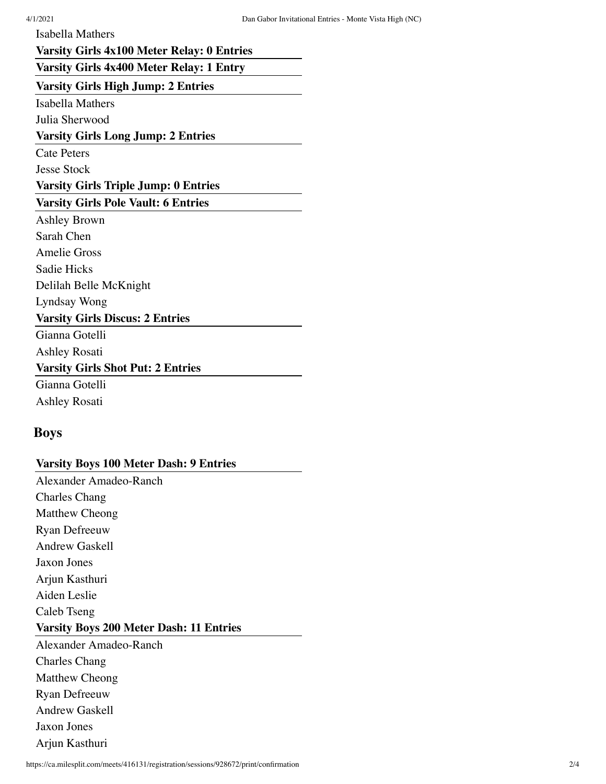Isabella Mathers

#### **Varsity Girls 4x100 Meter Relay: 0 Entries**

## **Varsity Girls 4x400 Meter Relay: 1 Entry**

**Varsity Girls High Jump: 2 Entries**

**Isabella Mathers** 

Julia Sherwood

#### **Varsity Girls Long Jump: 2 Entries**

**Cate Peters** 

Jesse Stock

#### **Varsity Girls Triple Jump: 0 Entries**

#### **Varsity Girls Pole Vault: 6 Entries**

Ashley Brown Sarah Chen Amelie Gross Sadie Hicks Delilah Belle McKnight Lyndsay Wong **Varsity Girls Discus: 2 Entries** Gianna Gotelli

Ashley Rosati

## **Varsity Girls Shot Put: 2 Entries**

Gianna Gotelli Ashley Rosati

#### **Boys**

## **Varsity Boys 100 Meter Dash: 9 Entries**

Alexander Amadeo-Ranch Charles Chang Matthew Cheong Ryan Defreeuw Andrew Gaskell Jaxon Jones Arjun Kasthuri Aiden Leslie Caleb Tseng **Varsity Boys 200 Meter Dash: 11 Entries** Alexander Amadeo-Ranch Charles Chang Matthew Cheong Ryan Defreeuw Andrew Gaskell Jaxon Jones Arjun Kasthuri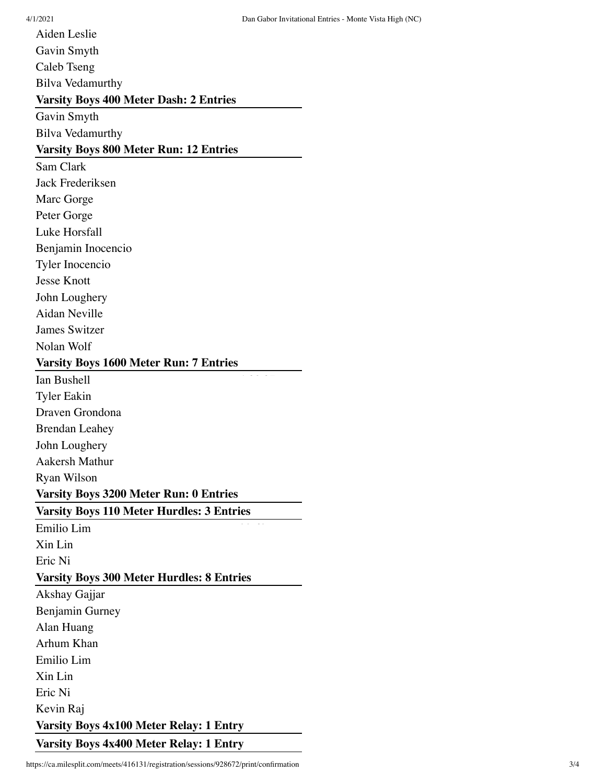4/1/2021 Dan Gabor Invitational Entries - Monte Vista High (NC)

Aiden Leslie Gavin Smyth Caleb Tseng Bilva Vedamurthy **Varsity Boys 400 Meter Dash: 2 Entries** Gavin Smyth Bilva Vedamurthy **Varsity Boys 800 Meter Run: 12 Entries** Sam Clark Jack Frederiksen Marc Gorge Peter Gorge Luke Horsfall Benjamin Inocencio Tyler Inocencio Jesse Knott John Loughery Aidan Neville James Switzer Nolan Wolf **Varsity Boys 1600 Meter Run: 7 Entries** Ian Bushell Tyler Eakin Draven Grondona Brendan Leahey John Loughery Aakersh Mathur Ryan Wilson **Varsity Boys 3200 Meter Run: 0 Entries Varsity Boys 110 Meter Hurdles: 3 Entries** Emilio Lim Xin Lin Eric Ni **Varsity Boys 300 Meter Hurdles: 8 Entries** Akshay Gajjar Benjamin Gurney Alan Huang Arhum Khan Emilio Lim Xin Lin Eric Ni Kevin Raj **Varsity Boys 4x100 Meter Relay: 1 Entry Varsity Boys 4x400 Meter Relay: 1 Entry**